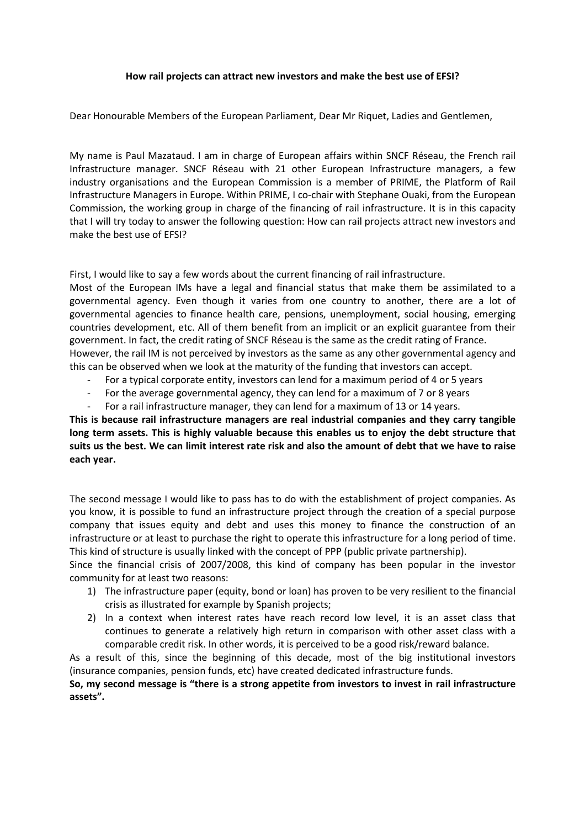## **How rail projects can attract new investors and make the best use of EFSI?**

Dear Honourable Members of the European Parliament, Dear Mr Riquet, Ladies and Gentlemen,

My name is Paul Mazataud. I am in charge of European affairs within SNCF Réseau, the French rail Infrastructure manager. SNCF Réseau with 21 other European Infrastructure managers, a few industry organisations and the European Commission is a member of PRIME, the Platform of Rail Infrastructure Managers in Europe. Within PRIME, I co-chair with Stephane Ouaki, from the European Commission, the working group in charge of the financing of rail infrastructure. It is in this capacity that I will try today to answer the following question: How can rail projects attract new investors and make the best use of EFSI?

First, I would like to say a few words about the current financing of rail infrastructure.

Most of the European IMs have a legal and financial status that make them be assimilated to a governmental agency. Even though it varies from one country to another, there are a lot of governmental agencies to finance health care, pensions, unemployment, social housing, emerging countries development, etc. All of them benefit from an implicit or an explicit guarantee from their government. In fact, the credit rating of SNCF Réseau is the same as the credit rating of France. However, the rail IM is not perceived by investors as the same as any other governmental agency and this can be observed when we look at the maturity of the funding that investors can accept.

- For a typical corporate entity, investors can lend for a maximum period of 4 or 5 years
- For the average governmental agency, they can lend for a maximum of 7 or 8 years
- For a rail infrastructure manager, they can lend for a maximum of 13 or 14 years.

**This is because rail infrastructure managers are real industrial companies and they carry tangible long term assets. This is highly valuable because this enables us to enjoy the debt structure that suits us the best. We can limit interest rate risk and also the amount of debt that we have to raise each year.** 

The second message I would like to pass has to do with the establishment of project companies. As you know, it is possible to fund an infrastructure project through the creation of a special purpose company that issues equity and debt and uses this money to finance the construction of an infrastructure or at least to purchase the right to operate this infrastructure for a long period of time. This kind of structure is usually linked with the concept of PPP (public private partnership).

Since the financial crisis of 2007/2008, this kind of company has been popular in the investor community for at least two reasons:

- 1) The infrastructure paper (equity, bond or loan) has proven to be very resilient to the financial crisis as illustrated for example by Spanish projects;
- 2) In a context when interest rates have reach record low level, it is an asset class that continues to generate a relatively high return in comparison with other asset class with a comparable credit risk. In other words, it is perceived to be a good risk/reward balance.

As a result of this, since the beginning of this decade, most of the big institutional investors (insurance companies, pension funds, etc) have created dedicated infrastructure funds.

**So, my second message is "there is a strong appetite from investors to invest in rail infrastructure assets".**